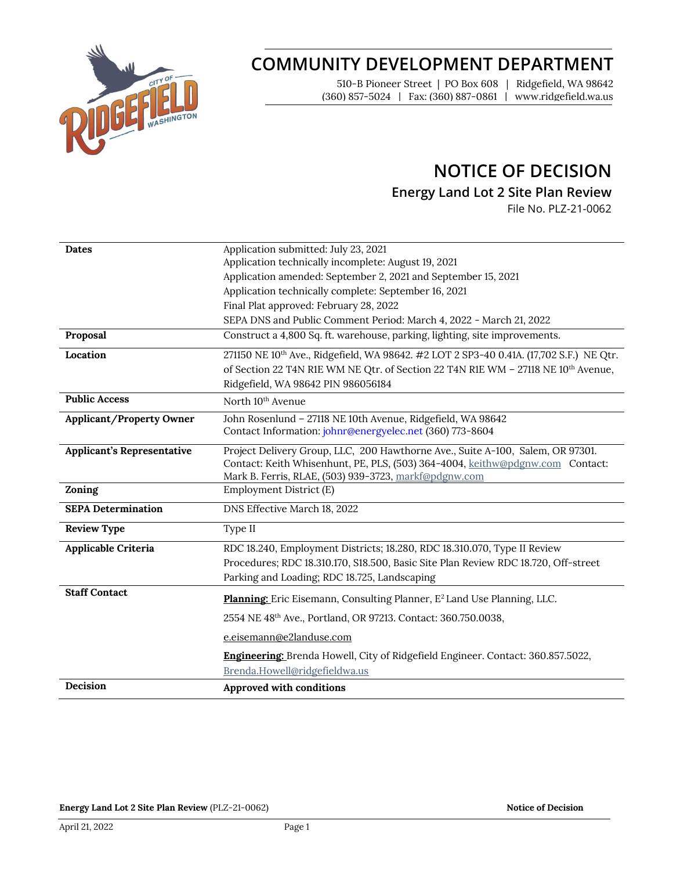

# **COMMUNITY DEVELOPMENT DEPARTMENT**

510-B Pioneer Street | PO Box 608 | Ridgefield, WA 98642 (360) 857-5024 | Fax: (360) 887-0861 | www.ridgefield.wa.us

## **NOTICE OF DECISION**

**Energy Land Lot 2 Site Plan Review**

File No. PLZ-21-0062

| <b>Dates</b>                      | Application submitted: July 23, 2021                                                                |
|-----------------------------------|-----------------------------------------------------------------------------------------------------|
|                                   | Application technically incomplete: August 19, 2021                                                 |
|                                   | Application amended: September 2, 2021 and September 15, 2021                                       |
|                                   | Application technically complete: September 16, 2021                                                |
|                                   | Final Plat approved: February 28, 2022                                                              |
|                                   | SEPA DNS and Public Comment Period: March 4, 2022 - March 21, 2022                                  |
| Proposal                          | Construct a 4,800 Sq. ft. warehouse, parking, lighting, site improvements.                          |
| Location                          | 271150 NE 10 <sup>th</sup> Ave., Ridgefield, WA 98642. #2 LOT 2 SP3-40 0.41A. (17,702 S.F.) NE Qtr. |
|                                   | of Section 22 T4N R1E WM NE Qtr. of Section 22 T4N R1E WM - 27118 NE 10 <sup>th</sup> Avenue,       |
|                                   | Ridgefield, WA 98642 PIN 986056184                                                                  |
| <b>Public Access</b>              | North 10 <sup>th</sup> Avenue                                                                       |
| <b>Applicant/Property Owner</b>   | John Rosenlund - 27118 NE 10th Avenue, Ridgefield, WA 98642                                         |
|                                   | Contact Information: johnr@energyelec.net (360) 773-8604                                            |
| <b>Applicant's Representative</b> | Project Delivery Group, LLC, 200 Hawthorne Ave., Suite A-100, Salem, OR 97301.                      |
|                                   | Contact: Keith Whisenhunt, PE, PLS, (503) 364-4004, keithw@pdgnw.com Contact:                       |
|                                   | Mark B. Ferris, RLAE, (503) 939-3723, markf@pdgnw.com                                               |
| Zoning                            | Employment District (E)                                                                             |
| <b>SEPA Determination</b>         | DNS Effective March 18, 2022                                                                        |
| <b>Review Type</b>                | Type II                                                                                             |
| Applicable Criteria               | RDC 18.240, Employment Districts; 18.280, RDC 18.310.070, Type II Review                            |
|                                   | Procedures; RDC 18.310.170, S18.500, Basic Site Plan Review RDC 18.720, Off-street                  |
|                                   | Parking and Loading; RDC 18.725, Landscaping                                                        |
| <b>Staff Contact</b>              | Planning: Eric Eisemann, Consulting Planner, E <sup>2</sup> Land Use Planning, LLC.                 |
|                                   | 2554 NE 48th Ave., Portland, OR 97213. Contact: 360.750.0038,                                       |
|                                   | e.eisemann@e2landuse.com                                                                            |
|                                   | Engineering: Brenda Howell, City of Ridgefield Engineer. Contact: 360.857.5022,                     |
|                                   | Brenda.Howell@ridgefieldwa.us                                                                       |
| Decision                          | Approved with conditions                                                                            |
|                                   |                                                                                                     |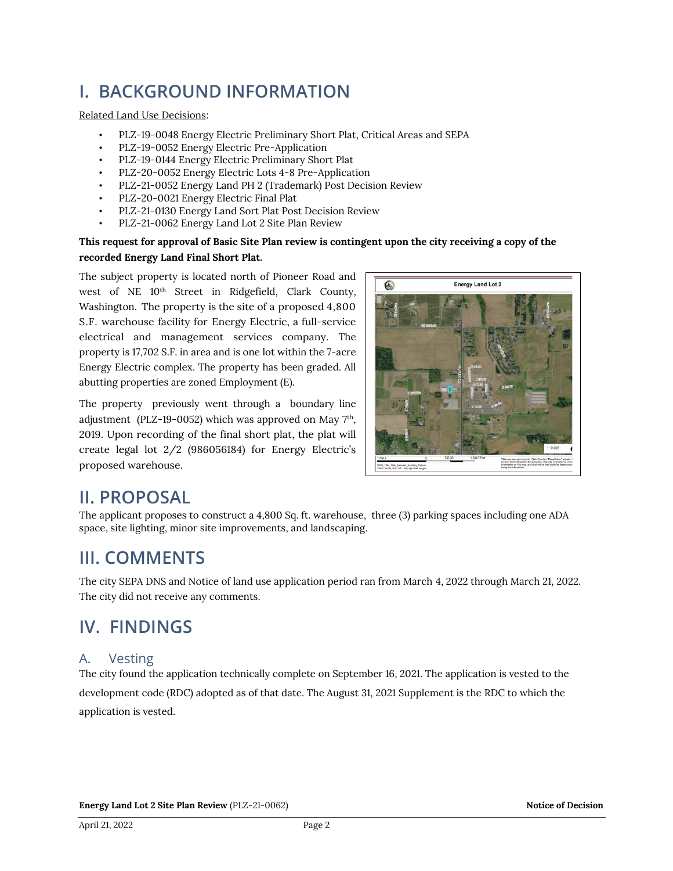# **I. BACKGROUND INFORMATION**

#### Related Land Use Decisions:

- PLZ-19-0048 Energy Electric Preliminary Short Plat, Critical Areas and SEPA
- PLZ-19-0052 Energy Electric Pre-Application
- PLZ-19-0144 Energy Electric Preliminary Short Plat
- PLZ-20-0052 Energy Electric Lots 4-8 Pre-Application
- PLZ-21-0052 Energy Land PH 2 (Trademark) Post Decision Review
- PLZ-20-0021 Energy Electric Final Plat
- PLZ-21-0130 Energy Land Sort Plat Post Decision Review
- PLZ-21-0062 Energy Land Lot 2 Site Plan Review

#### **This request for approval of Basic Site Plan review is contingent upon the city receiving a copy of the recorded Energy Land Final Short Plat.**

The subject property is located north of Pioneer Road and west of NE 10<sup>th</sup> Street in Ridgefield, Clark County, Washington. The property is the site of a proposed 4,800 S.F. warehouse facility for Energy Electric, a full-service electrical and management services company. The property is 17,702 S.F. in area and is one lot within the 7-acre Energy Electric complex. The property has been graded. All abutting properties are zoned Employment (E).

The property previously went through a boundary line adjustment (PLZ-19-0052) which was approved on May  $7<sup>th</sup>$ , 2019. Upon recording of the final short plat, the plat will create legal lot 2/2 (986056184) for Energy Electric's proposed warehouse.



## **II. PROPOSAL**

The applicant proposes to construct a 4,800 Sq. ft. warehouse, three (3) parking spaces including one ADA space, site lighting, minor site improvements, and landscaping.

## **III. COMMENTS**

The city SEPA DNS and Notice of land use application period ran from March 4, 2022 through March 21, 2022. The city did not receive any comments.

## **IV. FINDINGS**

### A. Vesting

The city found the application technically complete on September 16, 2021. The application is vested to the development code (RDC) adopted as of that date. The August 31, 2021 Supplement is the RDC to which the application is vested.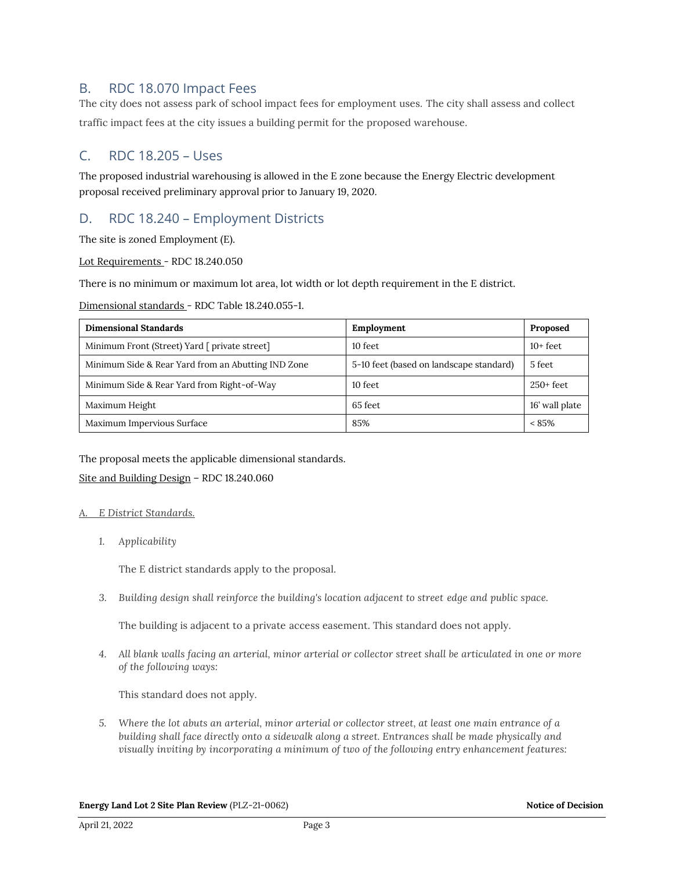### B. RDC 18.070 Impact Fees

The city does not assess park of school impact fees for employment uses. The city shall assess and collect traffic impact fees at the city issues a building permit for the proposed warehouse.

### C. RDC 18.205 – Uses

The proposed industrial warehousing is allowed in the E zone because the Energy Electric development proposal received preliminary approval prior to January 19, 2020.

### D. RDC 18.240 – Employment Districts

The site is zoned Employment (E).

#### Lot Requirements - RDC 18.240.050

There is no minimum or maximum lot area, lot width or lot depth requirement in the E district.

#### Dimensional standards - RDC Table 18.240.055-1.

| <b>Dimensional Standards</b>                       | Employment                              | Proposed       |
|----------------------------------------------------|-----------------------------------------|----------------|
| Minimum Front (Street) Yard [ private street]      | 10 feet                                 | $10+$ feet     |
| Minimum Side & Rear Yard from an Abutting IND Zone | 5-10 feet (based on landscape standard) | 5 feet         |
| Minimum Side & Rear Yard from Right-of-Way         | 10 feet                                 | $250+$ feet    |
| Maximum Height                                     | 65 feet                                 | 16' wall plate |
| Maximum Impervious Surface                         | 85%                                     | $< 85\%$       |

#### The proposal meets the applicable dimensional standards.

#### Site and Building Design – RDC 18.240.060

#### *A. E District Standards.*

*1. Applicability*

The E district standards apply to the proposal.

*3. Building design shall reinforce the building's location adjacent to street edge and public space.*

The building is adjacent to a private access easement. This standard does not apply.

*4. All blank walls facing an arterial, minor arterial or collector street shall be articulated in one or more of the following ways:*

This standard does not apply.

*5. Where the lot abuts an arterial, minor arterial or collector street, at least one main entrance of a building shall face directly onto a sidewalk along a street. Entrances shall be made physically and visually inviting by incorporating a minimum of two of the following entry enhancement features:*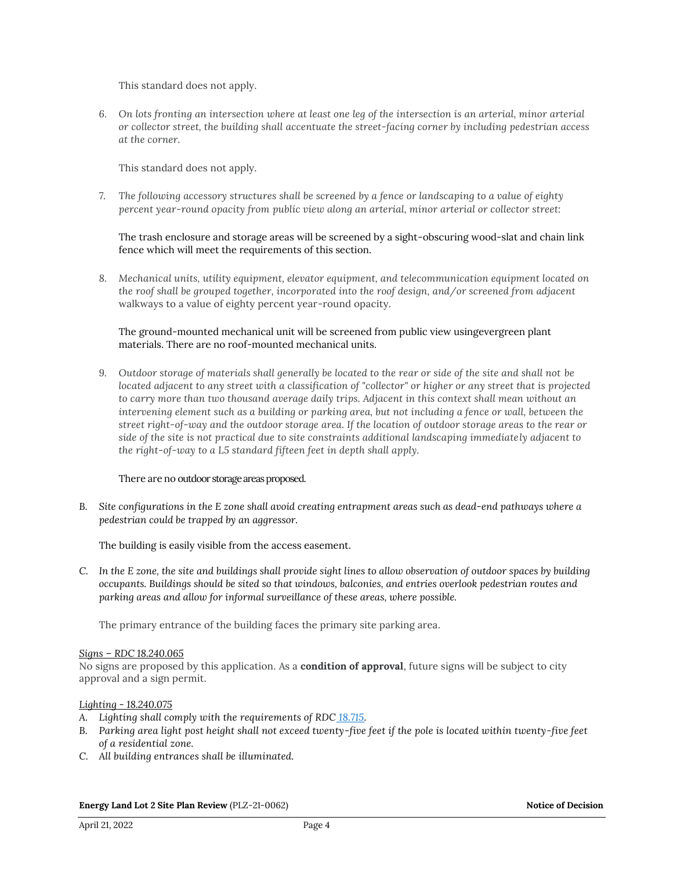This standard does not apply.

*6. On lots fronting an intersection where at least one leg of the intersection is an arterial, minor arterial or collector street, the building shall accentuate the street-facing corner by including pedestrian access at the corner.*

This standard does not apply.

*7. The following accessory structures shall be screened by a fence or landscaping to a value of eighty percent year-round opacity from public view along an arterial, minor arterial or collector street:*

The trash enclosure and storage areas will be screened by a sight-obscuring wood-slat and chain link fence which will meet the requirements of this section.

*8. Mechanical units, utility equipment, elevator equipment, and telecommunication equipment located on the roof shall be grouped together, incorporated into the roof design, and/or screened from adjacent*  walkways to a value of eighty percent year-round opacity.

#### The ground-mounted mechanical unit will be screened from public view usingevergreen plant materials. There are no roof-mounted mechanical units.

*9. Outdoor storage of materials shall generally be located to the rear or side of the site and shall not be located adjacent to any street with a classification of "collector" or higher or any street that is projected to carry more than two thousand average daily trips. Adjacent in this context shall mean without an intervening element such as a building or parking area, but not including a fence or wall, between the street right-of-way and the outdoor storage area. If the location of outdoor storage areas to the rear or side of the site is not practical due to site constraints additional landscaping immediately adjacent to the right-of-way to a L5 standard fifteen feet in depth shall apply.*

#### There are no outdoor storage areas proposed.

*B. Site configurations in the E zone shall avoid creating entrapment areas such as dead-end pathways where a pedestrian could be trapped by an aggressor.*

The building is easily visible from the access easement.

*C. In the E zone, the site and buildings shall provide sight lines to allow observation of outdoor spaces by building occupants. Buildings should be sited so that windows, balconies, and entries overlook pedestrian routes and parking areas and allow for informal surveillance of these areas, where possible.*

The primary entrance of the building faces the primary site parking area.

#### *Signs – RDC 18.240.065*

No signs are proposed by this application. As a **condition of approval**, future signs will be subject to city approval and a sign permit.

#### *Lighting - 18.240.075*

- *A. Lighting shall comply with the requirements of RDC [18.715.](https://library.municode.com/wa/ridgefield/codes/code_of_ordinances/388180?nodeId=CO_TIT18DECO_CH18.715EXLI)*
- *B. Parking area light post height shall not exceed twenty-five feet if the pole is located within twenty-five feet of a residential zone.*
- *C. All building entrances shall be illuminated.*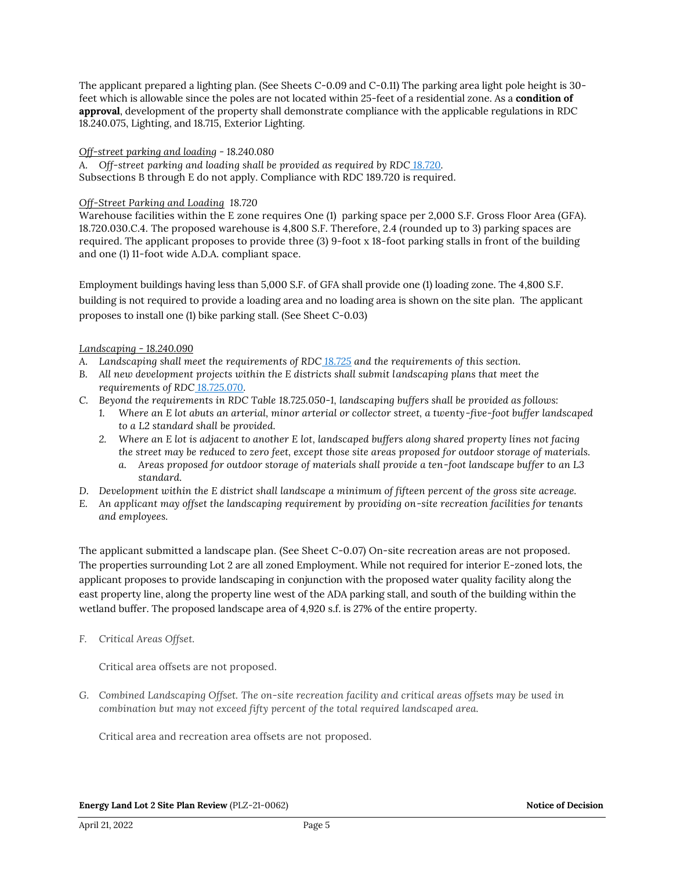The applicant prepared a lighting plan. (See Sheets C-0.09 and C-0.11) The parking area light pole height is 30 feet which is allowable since the poles are not located within 25-feet of a residential zone. As a **condition of approval**, development of the property shall demonstrate compliance with the applicable regulations in RDC 18.240.075, Lighting, and 18.715, Exterior Lighting.

#### *Off-street parking and loading - 18.240.080*

A. Off-street parking and loading shall be provided as required by RDC [18.720.](https://library.municode.com/wa/ridgefield/codes/code_of_ordinances/388180?nodeId=CO_TIT18DECO_CH18.720OREPALO) Subsections B through E do not apply. Compliance with RDC 189.720 is required.

#### *Off-Street Parking and Loading 18.720*

Warehouse facilities within the E zone requires One (1) parking space per 2,000 S.F. Gross Floor Area (GFA). 18.720.030.C.4. The proposed warehouse is 4,800 S.F. Therefore, 2.4 (rounded up to 3) parking spaces are required. The applicant proposes to provide three (3) 9-foot x 18-foot parking stalls in front of the building and one (1) 11-foot wide A.D.A. compliant space.

Employment buildings having less than 5,000 S.F. of GFA shall provide one (1) loading zone. The 4,800 S.F. building is not required to provide a loading area and no loading area is shown on the site plan. The applicant proposes to install one (1) bike parking stall. (See Sheet C-0.03)

#### *Landscaping - 18.240.090*

- *A. Landscaping shall meet the requirements of RDC [18.725](https://library.municode.com/wa/ridgefield/codes/code_of_ordinances/388180?nodeId=CO_TIT18DECO_CH18.725LA) and the requirements of this section.*
- *B. All new development projects within the E districts shall submit landscaping plans that meet the requirements of RDC [18.725.070.](https://library.municode.com/wa/ridgefield/codes/code_of_ordinances/388180?nodeId=CO_TIT18DECO_CH18.725LA_18.725.070LAPL)*
- *C. Beyond the requirements in RDC Table 18.725.050-1, landscaping buffers shall be provided as follows:*
	- *1. Where an E lot abuts an arterial, minor arterial or collector street, a twenty-five-foot buffer landscaped to a L2 standard shall be provided.*
	- *2. Where an E lot is adjacent to another E lot, landscaped buffers along shared property lines not facing the street may be reduced to zero feet, except those site areas proposed for outdoor storage of materials.*
		- *a. Areas proposed for outdoor storage of materials shall provide a ten-foot landscape buffer to an L3 standard.*
- *D. Development within the E district shall landscape a minimum of fifteen percent of the gross site acreage.*
- *E. An applicant may offset the landscaping requirement by providing on-site recreation facilities for tenants and employees.*

The applicant submitted a landscape plan. (See Sheet C-0.07) On-site recreation areas are not proposed. The properties surrounding Lot 2 are all zoned Employment. While not required for interior E-zoned lots, the applicant proposes to provide landscaping in conjunction with the proposed water quality facility along the east property line, along the property line west of the ADA parking stall, and south of the building within the wetland buffer. The proposed landscape area of 4,920 s.f. is 27% of the entire property.

*F. Critical Areas Offset.*

Critical area offsets are not proposed.

*G. Combined Landscaping Offset. The on-site recreation facility and critical areas offsets may be used in combination but may not exceed fifty percent of the total required landscaped area.*

Critical area and recreation area offsets are not proposed.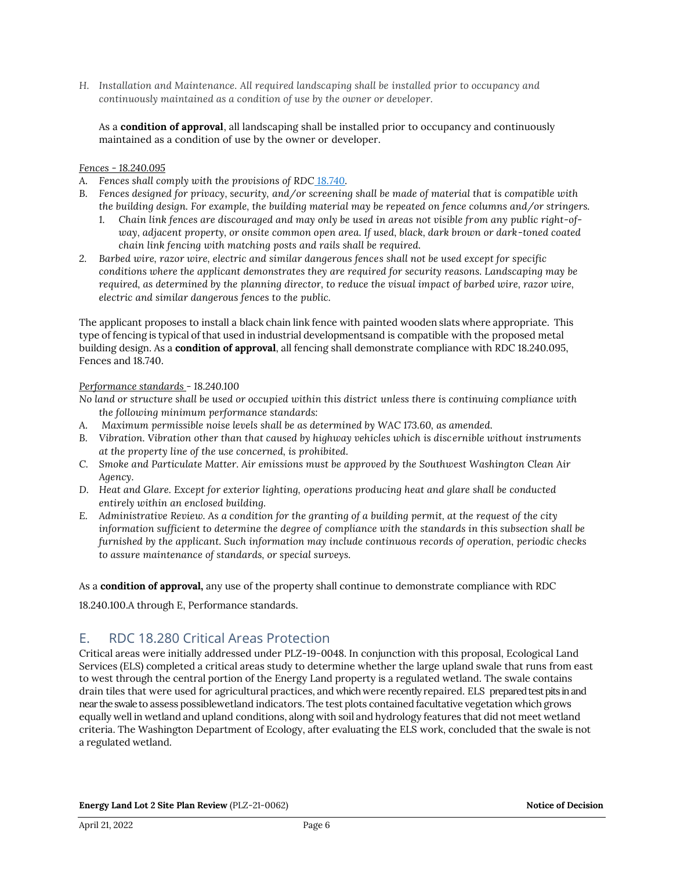*H. Installation and Maintenance. All required landscaping shall be installed prior to occupancy and continuously maintained as a condition of use by the owner or developer.*

As a **condition of approval**, all landscaping shall be installed prior to occupancy and continuously maintained as a condition of use by the owner or developer.

#### *Fences - 18.240.095*

- *A. Fences shall comply with the provisions of RDC [18.740.](https://library.municode.com/wa/ridgefield/codes/code_of_ordinances/388180?nodeId=CO_TIT18DECO_CH18.740FEWA)*
- *B. Fences designed for privacy, security, and/or screening shall be made of material that is compatible with the building design. For example, the building material may be repeated on fence columns and/or stringers.*
	- *1. Chain link fences are discouraged and may only be used in areas not visible from any public right-ofway, adjacent property, or onsite common open area. If used, black, dark brown or dark-toned coated chain link fencing with matching posts and rails shall be required.*
- *2. Barbed wire, razor wire, electric and similar dangerous fences shall not be used except for specific conditions where the applicant demonstrates they are required for security reasons. Landscaping may be required, as determined by the planning director, to reduce the visual impact of barbed wire, razor wire, electric and similar dangerous fences to the public.*

The applicant proposes to install a black chain link fence with painted wooden slats where appropriate. This type of fencing is typical of that used in industrial developmentsand is compatible with the proposed metal building design. As a **condition of approval**, all fencing shall demonstrate compliance with RDC 18.240.095, Fences and 18.740.

#### *Performance standards - 18.240.100*

*No land or structure shall be used or occupied within this district unless there is continuing compliance with the following minimum performance standards:*

- *A. Maximum permissible noise levels shall be as determined by WAC 173.60, as amended.*
- *B. Vibration. Vibration other than that caused by highway vehicles which is discernible without instruments at the property line of the use concerned, is prohibited.*
- *C. Smoke and Particulate Matter. Air emissions must be approved by the Southwest Washington Clean Air Agency.*
- *D. Heat and Glare. Except for exterior lighting, operations producing heat and glare shall be conducted entirely within an enclosed building.*
- *E. Administrative Review. As a condition for the granting of a building permit, at the request of the city information sufficient to determine the degree of compliance with the standards in this subsection shall be furnished by the applicant. Such information may include continuous records of operation, periodic checks to assure maintenance of standards, or special surveys.*

As a **condition of approval,** any use of the property shall continue to demonstrate compliance with RDC

18.240.100.A through E, Performance standards.

### E. RDC 18.280 Critical Areas Protection

Critical areas were initially addressed under PLZ-19-0048. In conjunction with this proposal, Ecological Land Services (ELS) completed a critical areas study to determine whether the large upland swale that runs from east to west through the central portion of the Energy Land property is a regulated wetland. The swale contains drain tiles that were used for agricultural practices, and which were recently repaired. ELS prepared test pits in and near the swale to assess possiblewetland indicators. The test plots contained facultative vegetation which grows equally well in wetland and upland conditions, along with soil and hydrology features that did not meet wetland criteria. The Washington Department of Ecology, after evaluating the ELS work, concluded that the swale is not a regulated wetland.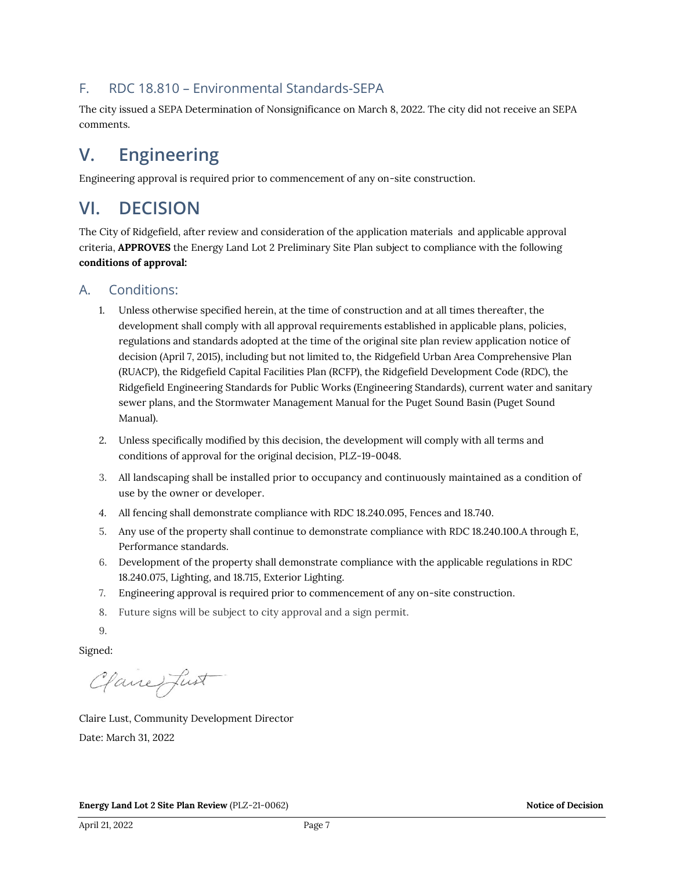### F. RDC 18.810 – Environmental Standards-SEPA

The city issued a SEPA Determination of Nonsignificance on March 8, 2022. The city did not receive an SEPA comments.

# **V. Engineering**

Engineering approval is required prior to commencement of any on-site construction.

## **VI. DECISION**

The City of Ridgefield, after review and consideration of the application materials and applicable approval criteria, **APPROVES** the Energy Land Lot 2 Preliminary Site Plan subject to compliance with the following **conditions of approval:**

### A. Conditions:

- 1. Unless otherwise specified herein, at the time of construction and at all times thereafter, the development shall comply with all approval requirements established in applicable plans, policies, regulations and standards adopted at the time of the original site plan review application notice of decision (April 7, 2015), including but not limited to, the Ridgefield Urban Area Comprehensive Plan (RUACP), the Ridgefield Capital Facilities Plan (RCFP), the Ridgefield Development Code (RDC), the Ridgefield Engineering Standards for Public Works (Engineering Standards), current water and sanitary sewer plans, and the Stormwater Management Manual for the Puget Sound Basin (Puget Sound Manual).
- 2. Unless specifically modified by this decision, the development will comply with all terms and conditions of approval for the original decision, PLZ-19-0048.
- 3. All landscaping shall be installed prior to occupancy and continuously maintained as a condition of use by the owner or developer.
- *4.* All fencing shall demonstrate compliance with RDC 18.240.095, Fences and 18.740.
- 5. Any use of the property shall continue to demonstrate compliance with RDC 18.240.100.A through E, Performance standards.
- 6. Development of the property shall demonstrate compliance with the applicable regulations in RDC 18.240.075, Lighting, and 18.715, Exterior Lighting.
- 7. Engineering approval is required prior to commencement of any on-site construction.
- 8. Future signs will be subject to city approval and a sign permit.
- 9.

Signed:

Clane fust

Claire Lust, Community Development Director Date: March 31, 2022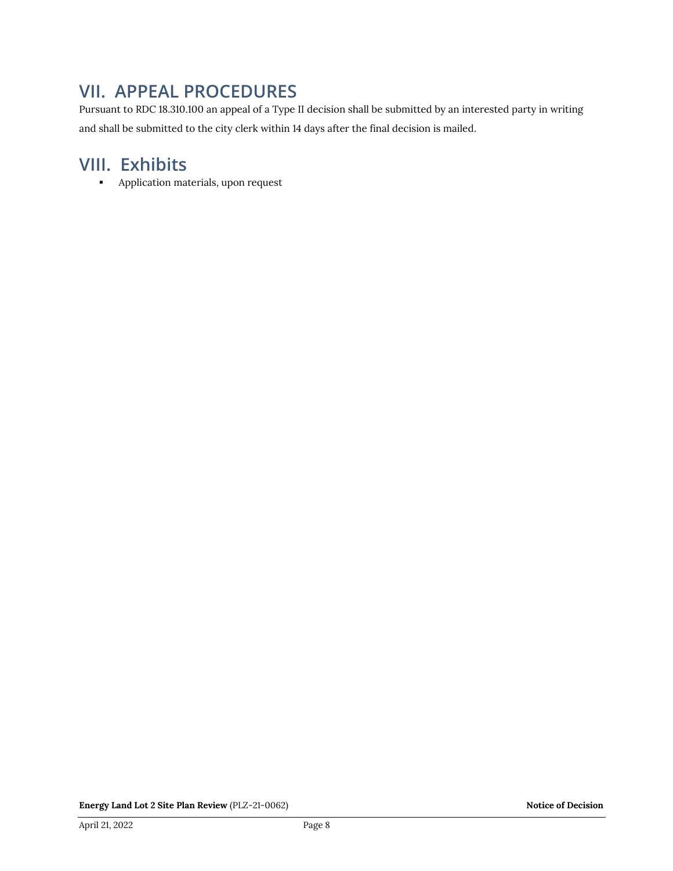## **VII. APPEAL PROCEDURES**

Pursuant to RDC 18.310.100 an appeal of a Type II decision shall be submitted by an interested party in writing and shall be submitted to the city clerk within 14 days after the final decision is mailed.

## **VIII. Exhibits**

■ Application materials, upon request